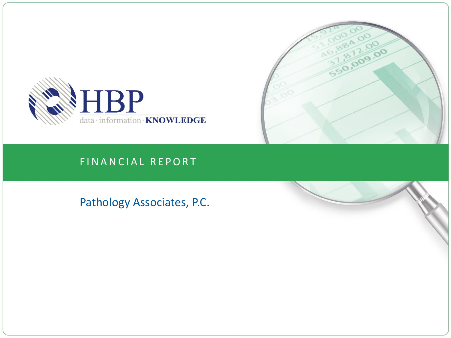



### FINANCIAL REPORT

Pathology Associates, P.C.

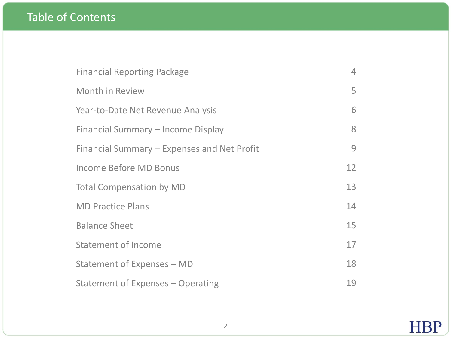# Table of Contents

| <b>Financial Reporting Package</b>          | 4  |
|---------------------------------------------|----|
| Month in Review                             | 5  |
| Year-to-Date Net Revenue Analysis           | 6  |
| Financial Summary – Income Display          | 8  |
| Financial Summary – Expenses and Net Profit | 9  |
| Income Before MD Bonus                      | 12 |
| <b>Total Compensation by MD</b>             | 13 |
| <b>MD Practice Plans</b>                    | 14 |
| <b>Balance Sheet</b>                        | 15 |
| <b>Statement of Income</b>                  | 17 |
| Statement of Expenses - MD                  | 18 |
| Statement of Expenses - Operating           | 19 |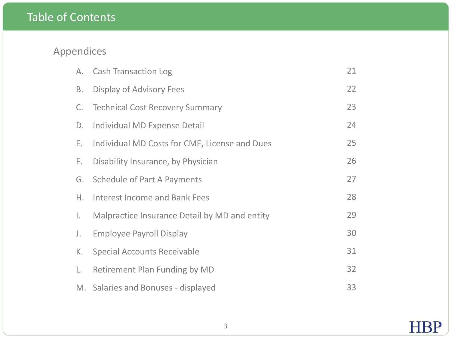# Table of Contents

# Appendices

| А. | <b>Cash Transaction Log</b>                   | 21 |
|----|-----------------------------------------------|----|
| Β. | Display of Advisory Fees                      | 22 |
| C. | <b>Technical Cost Recovery Summary</b>        | 23 |
| D. | Individual MD Expense Detail                  | 24 |
| Е. | Individual MD Costs for CME, License and Dues | 25 |
| F. | Disability Insurance, by Physician            | 26 |
| G. | <b>Schedule of Part A Payments</b>            | 27 |
| Η. | <b>Interest Income and Bank Fees</b>          | 28 |
| Ι. | Malpractice Insurance Detail by MD and entity | 29 |
| J. | <b>Employee Payroll Display</b>               | 30 |
| К. | <b>Special Accounts Receivable</b>            | 31 |
| L. | Retirement Plan Funding by MD                 | 32 |
|    | M. Salaries and Bonuses - displayed           | 33 |

**HBP**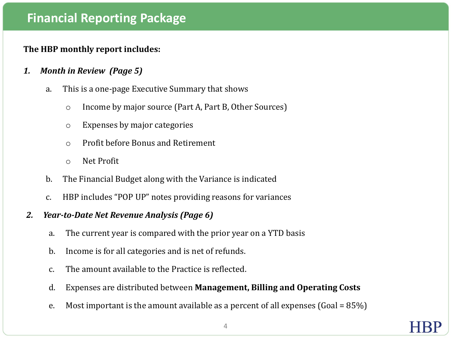# **Financial Reporting Package**

### **The HBP monthly report includes:**

- *1. Month in Review (Page 5)*
	- a. This is a one-page Executive Summary that shows
		- o Income by major source (Part A, Part B, Other Sources)
		- o Expenses by major categories
		- o Profit before Bonus and Retirement
		- o Net Profit
	- b. The Financial Budget along with the Variance is indicated
	- c. HBP includes "POP UP" notes providing reasons for variances

### *2. Year-to-Date Net Revenue Analysis (Page 6)*

- a. The current year is compared with the prior year on a YTD basis
- b. Income is for all categories and is net of refunds.
- c. The amount available to the Practice is reflected.
- d. Expenses are distributed between **Management, Billing and Operating Costs**
- e. Most important is the amount available as a percent of all expenses (Goal =  $85\%$ )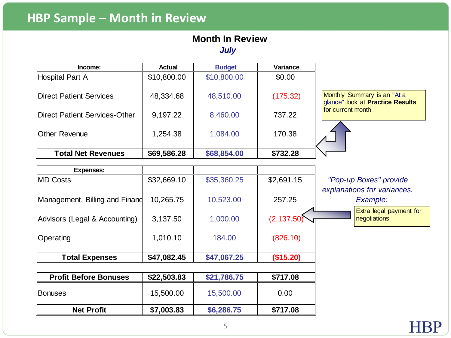# **HBP Sample – Month in Review**

# **Month In Review**

*July* 

| Income:                        | <b>Actual</b> | <b>Budget</b> | Variance    |                                                                                      |
|--------------------------------|---------------|---------------|-------------|--------------------------------------------------------------------------------------|
| Hospital Part A                | \$10,800.00   | \$10,800.00   | \$0.00      |                                                                                      |
| Direct Patient Services        | 48,334.68     | 48,510.00     | (175.32)    | Monthly Summary is an "At a<br>glance" look at Practice Results<br>for current month |
| Direct Patient Services-Other  | 9,197.22      | 8,460.00      | 737.22      |                                                                                      |
| <b>Other Revenue</b>           | 1,254.38      | 1,084.00      | 170.38      |                                                                                      |
| <b>Total Net Revenues</b>      | \$69,586.28   | \$68,854.00   | \$732.28    |                                                                                      |
|                                |               |               |             |                                                                                      |
| <b>Expenses:</b>               |               |               |             |                                                                                      |
| ∥MD Costs                      | \$32,669.10   | \$35,360.25   | \$2,691.15  | "Pop-up Boxes" provide                                                               |
| Management, Billing and Finand | 10,265.75     | 10,523.00     | 257.25      | explanations for variances.<br>Example:                                              |
| Advisors (Legal & Accounting)  | 3,137.50      | 1,000.00      | (2, 137.50) | Extra legal payment for<br>negotiations                                              |
| Operating                      | 1,010.10      | 184.00        | (826.10)    |                                                                                      |
| <b>Total Expenses</b>          | \$47,082.45   | \$47,067.25   | (\$15.20)   |                                                                                      |
|                                |               |               |             |                                                                                      |
| <b>Profit Before Bonuses</b>   | \$22,503.83   | \$21,786.75   | \$717.08    |                                                                                      |
| <b>Bonuses</b>                 | 15,500.00     | 15,500.00     | 0.00        |                                                                                      |
| <b>Net Profit</b>              | \$7,003.83    | \$6,286.75    | \$717.08    |                                                                                      |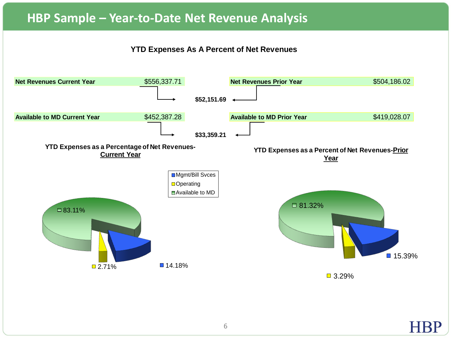## **HBP Sample – Year-to-Date Net Revenue Analysis**

### **YTD Expenses As A Percent of Net Revenues**

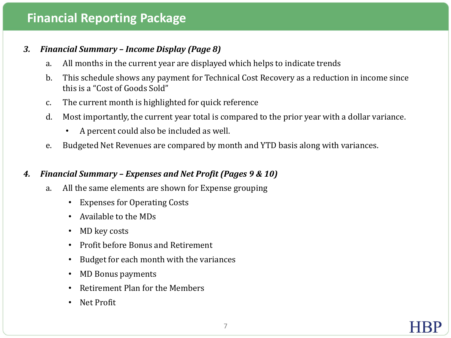# **Financial Reporting Package**

### *3. Financial Summary – Income Display (Page 8)*

- a. All months in the current year are displayed which helps to indicate trends
- b. This schedule shows any payment for Technical Cost Recovery as a reduction in income since this is a "Cost of Goods Sold"
- c. The current month is highlighted for quick reference
- d. Most importantly, the current year total is compared to the prior year with a dollar variance.
	- A percent could also be included as well.
- e. Budgeted Net Revenues are compared by month and YTD basis along with variances.

### *4. Financial Summary – Expenses and Net Profit (Pages 9 & 10)*

- a. All the same elements are shown for Expense grouping
	- Expenses for Operating Costs
	- Available to the MDs
	- MD key costs
	- Profit before Bonus and Retirement
	- Budget for each month with the variances
	- MD Bonus payments
	- Retirement Plan for the Members
	- Net Profit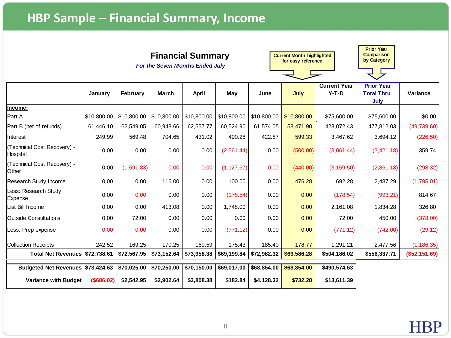# **HBP Sample – Financial Summary, Income**

|                                            | <b>Financial Summary</b><br><b>For the Seven Months Ended July</b>                                           |             |             |             |             |             | <b>Current Month highlighted</b><br>for easy reference |              | <b>Prior Year</b><br><b>Comparison</b><br>by Category |               |
|--------------------------------------------|--------------------------------------------------------------------------------------------------------------|-------------|-------------|-------------|-------------|-------------|--------------------------------------------------------|--------------|-------------------------------------------------------|---------------|
|                                            | <b>Current Year</b><br>$Y-T-D$<br>May<br>February<br><b>March</b><br><b>April</b><br>July<br>January<br>June |             |             |             |             |             | <b>Prior Year</b><br><b>Total Thru</b>                 | Variance     |                                                       |               |
|                                            |                                                                                                              |             |             |             |             |             |                                                        |              | July                                                  |               |
| Income:<br>Part A                          | \$10,800.00                                                                                                  | \$10,800.00 | \$10,800.00 | \$10,800.00 | \$10,800.00 | \$10,800.00 | \$10,800.00                                            | \$75,600.00  | \$75,600.00                                           | \$0.00        |
| Part B (net of refunds)                    | 61,446.10                                                                                                    | 62,549.05   | 60,948.66   | 62,557.77   | 60,524.90   | 61,574.05   | 58,471.90                                              | 428,072.43   | 477,812.03                                            | (49, 739.60)  |
| Interest                                   | 249.99                                                                                                       | 569.48      | 704.65      | 431.02      | 490.28      | 422.87      | 599.33                                                 | 3,467.62     | 3,694.12                                              | (226.50)      |
| (Technical Cost Recovery) -<br>Hospital    | 0.00                                                                                                         | 0.00        | 0.00        | 0.00        | (2,561.44)  | 0.00        | (500.00)                                               | (3,061.44)   | (3,421.18)                                            | 359.74        |
| Technical Cost Recovery) -<br><b>Other</b> | 0.00                                                                                                         | (1,591.83)  | 0.00        | 0.00        | (1, 127.67) | 0.00        | (440.00)                                               | (3, 159.50)  | (2,861.18)                                            | (298.32)      |
| Research Study Income                      | 0.00                                                                                                         | 0.00        | 116.00      | 0.00        | 100.00      | 0.00        | 476.28                                                 | 692.28       | 2,487.29                                              | (1,795.01)    |
| Less: Research Study<br>Expense            | 0.00                                                                                                         | 0.00        | 0.00        | 0.00        | (178.54)    | 0.00        | 0.00                                                   | (178.54)     | (993.21)                                              | 814.67        |
| List Bill Income                           | 0.00                                                                                                         | 0.00        | 413.08      | 0.00        | 1,748.00    | 0.00        | 0.00                                                   | 2,161.08     | 1,834.28                                              | 326.80        |
| Outside Consultations                      | 0.00                                                                                                         | 72.00       | 0.00        | 0.00        | 0.00        | 0.00        | 0.00                                                   | 72.00        | 450.00                                                | (378.00)      |
| Less: Prep expense                         | 0.00                                                                                                         | 0.00        | 0.00        | 0.00        | (771.12)    | 0.00        | 0.00                                                   | (771.12)     | (742.00)                                              | (29.12)       |
| Collection Receipts                        | 242.52                                                                                                       | 169.25      | 170.25      | 169.59      | 175.43      | 185.40      | 178.77                                                 | 1,291.21     | 2,477.56                                              | (1, 186.35)   |
| Total Net Revenues \$72,738.61             |                                                                                                              | \$72,567.95 | \$73,152.64 | \$73,958.38 | \$69,199.84 | \$72,982.32 | \$69,586.28                                            | \$504,186.02 | \$556,337.71                                          | (\$52,151.69) |
| Budgeted Net Revenues \$73,424.63          |                                                                                                              | \$70,025.00 | \$70,250.00 | \$70,150.00 | \$69,017.00 | \$68,854.00 | \$68,854.00                                            | \$490,574.63 |                                                       |               |
| Variance with Budget                       | (\$686.02)                                                                                                   | \$2,542.95  | \$2,902.64  | \$3,808.38  | \$182.84    | \$4,128.32  | \$732.28                                               | \$13,611.39  |                                                       |               |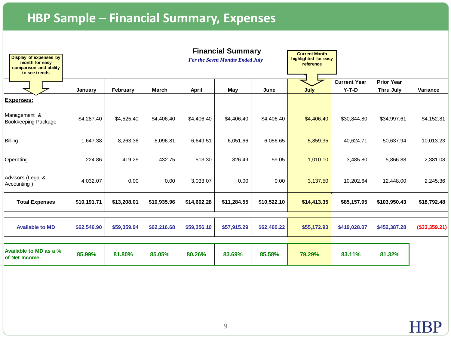# **HBP Sample – Financial Summary, Expenses**

| Display of expenses by<br>month for easy<br>comparison and ability<br>to see trends | <b>Financial Summary</b><br><b>For the Seven Months Ended July</b> |             |             |              |             | <b>Current Month</b><br>highlighted for easy<br>reference |             |                                |                                       |                |
|-------------------------------------------------------------------------------------|--------------------------------------------------------------------|-------------|-------------|--------------|-------------|-----------------------------------------------------------|-------------|--------------------------------|---------------------------------------|----------------|
|                                                                                     | January                                                            | February    | March       | <b>April</b> | May         | June                                                      | July        | <b>Current Year</b><br>$Y-T-D$ | <b>Prior Year</b><br><b>Thru July</b> | Variance       |
| <b>Expenses:</b>                                                                    |                                                                    |             |             |              |             |                                                           |             |                                |                                       |                |
| Management &<br><b>Bookkeeping Package</b>                                          | \$4,287.40                                                         | \$4,525.40  | \$4,406.40  | \$4,406.40   | \$4,406.40  | \$4,406.40                                                | \$4,406.40  | \$30,844.80                    | \$34,997.61                           | \$4,152.81     |
| Billing                                                                             | 1,647.38                                                           | 8,263.36    | 6,096.81    | 6,649.51     | 6,051.66    | 6,056.65                                                  | 5,859.35    | 40,624.71                      | 50,637.94                             | 10,013.23      |
| Operating                                                                           | 224.86                                                             | 419.25      | 432.75      | 513.30       | 826.49      | 59.05                                                     | 1,010.10    | 3,485.80                       | 5,866.88                              | 2,381.08       |
| Advisors (Legal &<br>Accounting)                                                    | 4,032.07                                                           | 0.00        | 0.00        | 3,033.07     | 0.00        | 0.00                                                      | 3,137.50    | 10,202.64                      | 12,448.00                             | 2,245.36       |
| <b>Total Expenses</b>                                                               | \$10,191.71                                                        | \$13,208.01 | \$10,935.96 | \$14,602.28  | \$11,284.55 | \$10,522.10                                               | \$14,413.35 | \$85,157.95                    | \$103,950.43                          | \$18,792.48    |
| <b>Available to MD</b>                                                              | \$62,546.90                                                        | \$59,359.94 | \$62,216.68 | \$59,356.10  | \$57,915.29 | \$62,460.22                                               | \$55,172.93 | \$419,028.07                   | \$452,387.28                          | $(*33,359.21)$ |
| Available to MD as a %<br>of Net Income                                             | 85.99%                                                             | 81.80%      | 85.05%      | 80.26%       | 83.69%      | 85,58%                                                    | 79.29%      | 83.11%                         | 81.32%                                |                |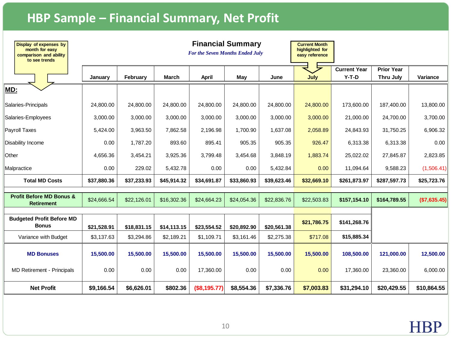# **HBP Sample – Financial Summary, Net Profit**

| Display of expenses by<br>month for easy<br>comparison and ability<br>to see trends |             | <b>Financial Summary</b><br>For the Seven Months Ended July |              |              |             | <b>Current Month</b><br>highlighted for<br>easy reference |             |                                |                                |              |
|-------------------------------------------------------------------------------------|-------------|-------------------------------------------------------------|--------------|--------------|-------------|-----------------------------------------------------------|-------------|--------------------------------|--------------------------------|--------------|
|                                                                                     | January     | February                                                    | <b>March</b> | April        | May         | June                                                      | July        | <b>Current Year</b><br>$Y-T-D$ | <b>Prior Year</b><br>Thru July | Variance     |
| MD:                                                                                 |             |                                                             |              |              |             |                                                           |             |                                |                                |              |
| Salaries-Principals                                                                 | 24,800.00   | 24,800.00                                                   | 24,800.00    | 24,800.00    | 24,800.00   | 24,800.00                                                 | 24,800.00   | 173,600.00                     | 187,400.00                     | 13,800.00    |
| Salaries-Employees                                                                  | 3,000.00    | 3,000.00                                                    | 3,000.00     | 3,000.00     | 3,000.00    | 3,000.00                                                  | 3,000.00    | 21,000.00                      | 24,700.00                      | 3,700.00     |
| <b>Payroll Taxes</b>                                                                | 5,424.00    | 3,963.50                                                    | 7,862.58     | 2,196.98     | 1,700.90    | 1,637.08                                                  | 2,058.89    | 24,843.93                      | 31,750.25                      | 6,906.32     |
| Disability Income                                                                   | 0.00        | 1,787.20                                                    | 893.60       | 895.41       | 905.35      | 905.35                                                    | 926.47      | 6,313.38                       | 6,313.38                       | 0.00         |
| Other                                                                               | 4,656.36    | 3,454.21                                                    | 3,925.36     | 3,799.48     | 3,454.68    | 3,848.19                                                  | 1,883.74    | 25,022.02                      | 27,845.87                      | 2,823.85     |
| Malpractice                                                                         | 0.00        | 229.02                                                      | 5,432.78     | 0.00         | 0.00        | 5,432.84                                                  | 0.00        | 11,094.64                      | 9,588.23                       | (1,506.41)   |
| <b>Total MD Costs</b>                                                               | \$37,880.36 | \$37,233.93                                                 | \$45,914.32  | \$34,691.87  | \$33,860.93 | \$39,623.46                                               | \$32,669.10 | \$261,873.97                   | \$287,597.73                   | \$25,723.76  |
| <b>Profit Before MD Bonus &amp;</b><br><b>Retirement</b>                            | \$24,666.54 | \$22,126.01                                                 | \$16,302.36  | \$24,664.23  | \$24,054.36 | \$22,836.76                                               | \$22,503.83 | \$157,154.10                   | \$164,789.55                   | (\$7,635.45) |
| <b>Budgeted Profit Before MD</b><br><b>Bonus</b>                                    | \$21,528.91 | \$18.831.15                                                 | \$14.113.15  | \$23,554.52  | \$20,892.90 | \$20.561.38                                               | \$21,786.75 | \$141,268.76                   |                                |              |
| Variance with Budget                                                                | \$3,137.63  | \$3,294.86                                                  | \$2,189.21   | \$1,109.71   | \$3,161.46  | \$2,275.38                                                | \$717.08    | \$15,885.34                    |                                |              |
| <b>MD Bonuses</b>                                                                   | 15,500.00   | 15,500.00                                                   | 15,500.00    | 15,500.00    | 15,500.00   | 15,500.00                                                 | 15,500.00   | 108,500.00                     | 121,000.00                     | 12,500.00    |
| <b>MD Retirement - Principals</b>                                                   | 0.00        | 0.00                                                        | 0.00         | 17,360.00    | 0.00        | 0.00                                                      | 0.00        | 17,360.00                      | 23.360.00                      | 6,000.00     |
| <b>Net Profit</b>                                                                   | \$9,166.54  | \$6,626.01                                                  | \$802.36     | (\$8,195.77) | \$8,554.36  | \$7,336.76                                                | \$7,003.83  | \$31,294.10                    | \$20,429.55                    | \$10,864.55  |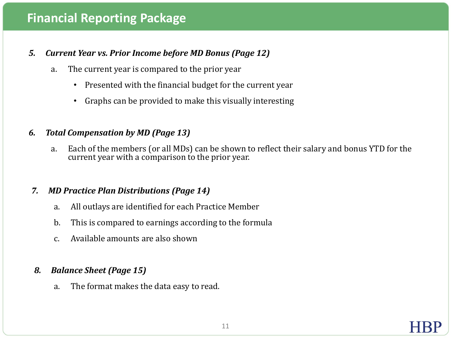# **Financial Reporting Package**

### *5. Current Year vs. Prior Income before MD Bonus (Page 12)*

- a. The current year is compared to the prior year
	- Presented with the financial budget for the current year
	- Graphs can be provided to make this visually interesting

### *6. Total Compensation by MD (Page 13)*

a. Each of the members (or all MDs) can be shown to reflect their salary and bonus YTD for the current year with a comparison to the prior year.

### *7. MD Practice Plan Distributions (Page 14)*

- a. All outlays are identified for each Practice Member
- b. This is compared to earnings according to the formula
- c. Available amounts are also shown

### *8. Balance Sheet (Page 15)*

a. The format makes the data easy to read.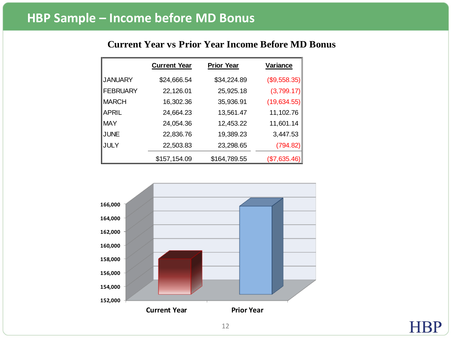### **Current Year vs Prior Year Income Before MD Bonus**

|                 | <b>Current Year</b> | <b>Prior Year</b> | Variance     |  |  |
|-----------------|---------------------|-------------------|--------------|--|--|
| <b>JANUARY</b>  | \$24,666.54         | \$34,224.89       | (\$9,558.35) |  |  |
| <b>FEBRUARY</b> | 22,126.01           | 25,925.18         | (3,799.17)   |  |  |
| <b>IMARCH</b>   | 16,302.36           | 35,936.91         | (19,634.55)  |  |  |
| APRIL           | 24,664.23           | 13,561.47         | 11,102.76    |  |  |
| <b>MAY</b>      | 24,054.36           | 12,453.22         | 11,601.14    |  |  |
| JUNE            | 22,836.76           | 19,389.23         | 3,447.53     |  |  |
| JULY            | 22,503.83           | 23,298.65         | (794.82)     |  |  |
|                 | \$157,154.09        | \$164,789.55      | (\$7,635.46) |  |  |



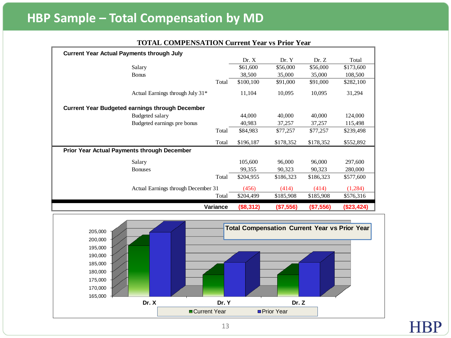# **HBP Sample – Total Compensation by MD**

|                                                    | <b>Current Year Actual Payments through July</b> |          |           |           |           |            |  |  |  |  |  |
|----------------------------------------------------|--------------------------------------------------|----------|-----------|-----------|-----------|------------|--|--|--|--|--|
|                                                    |                                                  |          | Dr. X     | Dr. Y     | Dr. Z     | Total      |  |  |  |  |  |
|                                                    | Salary                                           |          | \$61,600  | \$56,000  | \$56,000  | \$173,600  |  |  |  |  |  |
|                                                    | <b>Bonus</b>                                     |          | 38,500    | 35,000    | 35,000    | 108,500    |  |  |  |  |  |
|                                                    |                                                  | Total    | \$100,100 | \$91,000  | \$91,000  | \$282,100  |  |  |  |  |  |
|                                                    | Actual Earnings through July 31*                 |          | 11,104    | 10,095    | 10,095    | 31,294     |  |  |  |  |  |
|                                                    | Current Year Budgeted earnings through December  |          |           |           |           |            |  |  |  |  |  |
|                                                    | Budgeted salary                                  |          | 44,000    | 40,000    | 40,000    | 124,000    |  |  |  |  |  |
|                                                    | Budgeted earnings pre bonus                      |          | 40,983    | 37,257    | 37,257    | 115,498    |  |  |  |  |  |
|                                                    |                                                  | Total    | \$84,983  | \$77,257  | \$77,257  | \$239,498  |  |  |  |  |  |
|                                                    |                                                  | Total    | \$196,187 | \$178,352 | \$178,352 | \$552,892  |  |  |  |  |  |
| <b>Prior Year Actual Payments through December</b> |                                                  |          |           |           |           |            |  |  |  |  |  |
|                                                    | Salary                                           |          | 105,600   | 96,000    | 96,000    | 297,600    |  |  |  |  |  |
|                                                    | <b>Bonuses</b>                                   |          | 99,355    | 90,323    | 90,323    | 280,000    |  |  |  |  |  |
|                                                    |                                                  | Total    | \$204,955 | \$186,323 | \$186,323 | \$577,600  |  |  |  |  |  |
|                                                    | Actual Earnings through December 31              |          | (456)     | (414)     | (414)     | (1,284)    |  |  |  |  |  |
|                                                    |                                                  | Total    | \$204,499 | \$185,908 | \$185,908 | \$576,316  |  |  |  |  |  |
|                                                    |                                                  | Variance | (\$8,312) | (\$7,556) | (\$7,556) | (\$23,424) |  |  |  |  |  |

### **TOTAL COMPENSATION Current Year vs Prior Year**

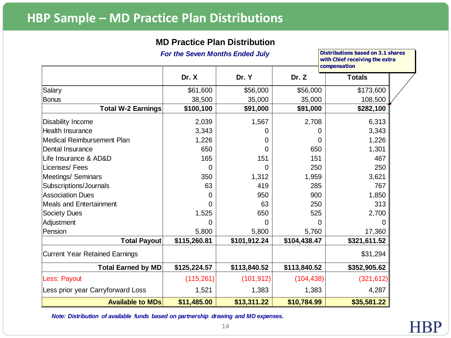# **HBP Sample – MD Practice Plan Distributions**

### **MD Practice Plan Distribution**

|                                       | For the Seven Months Ended July |              |              | <b>Distributions based on 3.1 shares</b><br>with Chief receiving the extra<br>compensation |
|---------------------------------------|---------------------------------|--------------|--------------|--------------------------------------------------------------------------------------------|
|                                       | Dr. X                           | Dr. Y        | Dr. Z        | <b>Totals</b>                                                                              |
| <b>Salary</b>                         | \$61,600                        | \$56,000     | \$56,000     | \$173,600                                                                                  |
| <b>Bonus</b>                          | 38,500                          | 35,000       | 35,000       | 108,500                                                                                    |
| <b>Total W-2 Earnings</b>             | \$100,100                       | \$91,000     | \$91,000     | \$282,100                                                                                  |
| <b>Disability Income</b>              | 2,039                           | 1,567        | 2,708        | 6,313                                                                                      |
| <b>Health Insurance</b>               | 3,343                           | 0            |              | 3,343                                                                                      |
| Medical Reimbursement Plan            | 1,226                           | 0            | 0            | 1,226                                                                                      |
| Dental Insurance                      | 650                             | O            | 650          | 1,301                                                                                      |
| Life Insurance & AD&D                 | 165                             | 151          | 151          | 467                                                                                        |
| Licenses/Fees                         | 0                               | 0            | 250          | 250                                                                                        |
| <b>Meetings/ Seminars</b>             | 350                             | 1,312        | 1,959        | 3,621                                                                                      |
| Subscriptions/Journals                | 63                              | 419          | 285          | 767                                                                                        |
| <b>Association Dues</b>               | $\Omega$                        | 950          | 900          | 1,850                                                                                      |
| <b>Meals and Entertainment</b>        | 0                               | 63           | 250          | 313                                                                                        |
| <b>Society Dues</b>                   | 1,525                           | 650          | 525          | 2,700                                                                                      |
| Adjustment                            | 0                               | 0            | 0            | 0                                                                                          |
| Pension                               | 5,800                           | 5,800        | 5,760        | 17,360                                                                                     |
| <b>Total Payout</b>                   | \$115,260.81                    | \$101,912.24 | \$104,438.47 | \$321,611.52                                                                               |
| <b>Current Year Retained Earnings</b> |                                 |              |              | \$31,294                                                                                   |
| <b>Total Earned by MD</b>             | \$125,224.57                    | \$113,840.52 | \$113,840.52 | \$352,905.62                                                                               |
| Less: Payout                          | (115,261)                       | (101, 912)   | (104, 438)   | (321, 612)                                                                                 |
| Less prior year Carryforward Loss     | 1,521                           | 1,383        | 1,383        | 4,287                                                                                      |
| <b>Available to MDs</b>               | \$11,485.00                     | \$13,311.22  | \$10,784.99  | \$35,581.22                                                                                |

*Note: Distribution of available funds based on partnership drawing and MD expenses.*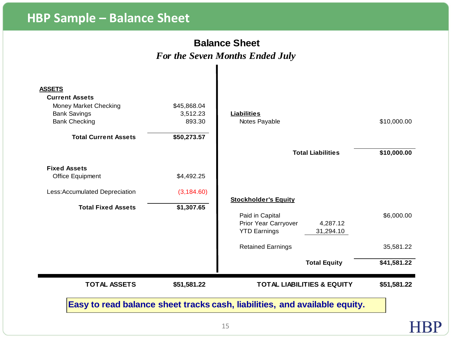# **HBP Sample – Balance Sheet**

### **Balance Sheet** *For the Seven Months Ended July*

|                     | <b>TOTAL ASSETS</b>                            | \$51,581.22 | <b>TOTAL LIABILITIES &amp; EQUITY</b>                                | \$51,581.22 |
|---------------------|------------------------------------------------|-------------|----------------------------------------------------------------------|-------------|
|                     |                                                |             | <b>Total Equity</b>                                                  | \$41,581.22 |
|                     |                                                |             | <b>Retained Earnings</b>                                             | 35,581.22   |
|                     |                                                |             | Prior Year Carryover<br>4,287.12<br><b>YTD Earnings</b><br>31,294.10 |             |
|                     | <b>Total Fixed Assets</b>                      | \$1,307.65  | Paid in Capital                                                      | \$6,000.00  |
|                     | Less: Accumulated Depreciation                 | (3, 184.60) | <b>Stockholder's Equity</b>                                          |             |
|                     | Office Equipment                               | \$4,492.25  |                                                                      |             |
| <b>Fixed Assets</b> |                                                |             |                                                                      |             |
|                     |                                                |             | <b>Total Liabilities</b>                                             | \$10,000.00 |
|                     | <b>Total Current Assets</b>                    | \$50,273.57 |                                                                      |             |
|                     | <b>Bank Checking</b>                           | 893.30      | Notes Payable                                                        | \$10,000.00 |
|                     | <b>Bank Savings</b>                            | 3,512.23    | <b>Liabilities</b>                                                   |             |
| <b>ASSETS</b>       | <b>Current Assets</b><br>Money Market Checking | \$45,868.04 |                                                                      |             |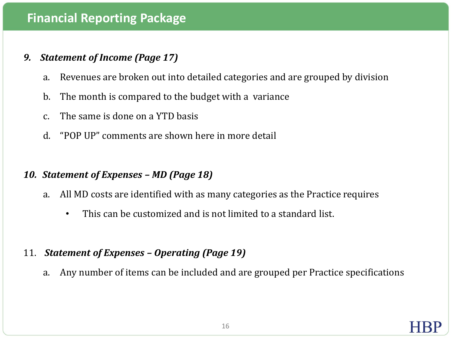## **Financial Reporting Package**

### *9. Statement of Income (Page 17)*

- a. Revenues are broken out into detailed categories and are grouped by division
- b. The month is compared to the budget with a variance
- c. The same is done on a YTD basis
- d. "POP UP" comments are shown here in more detail

### *10. Statement of Expenses – MD (Page 18)*

- a. All MD costs are identified with as many categories as the Practice requires
	- This can be customized and is not limited to a standard list.

### 11. *Statement of Expenses – Operating (Page 19)*

a. Any number of items can be included and are grouped per Practice specifications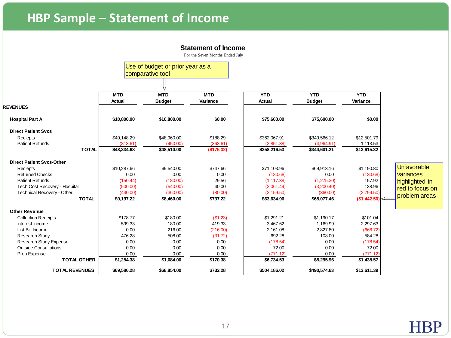# **HBP Sample – Statement of Income**

#### **Statement of Income**

|                                  |             | Use of budget or prior year as a |            |              |               |              |                    |
|----------------------------------|-------------|----------------------------------|------------|--------------|---------------|--------------|--------------------|
|                                  |             | comparative tool                 |            |              |               |              |                    |
|                                  |             |                                  |            |              |               |              |                    |
|                                  | <b>MTD</b>  | <b>MTD</b>                       | <b>MTD</b> | <b>YTD</b>   | <b>YTD</b>    | <b>YTD</b>   |                    |
|                                  | Actual      | <b>Budget</b>                    | Variance   | Actual       | <b>Budget</b> | Variance     |                    |
| <b>REVENUES</b>                  |             |                                  |            |              |               |              |                    |
| <b>Hospital Part A</b>           | \$10,800.00 | \$10,800.00                      | \$0.00     | \$75,600.00  | \$75,600.00   | \$0.00       |                    |
| <b>Direct Patient Svcs</b>       |             |                                  |            |              |               |              |                    |
| Reciepts                         | \$49,148.29 | \$48,960.00                      | \$188.29   | \$362,067.91 | \$349,566.12  | \$12,501.79  |                    |
| <b>Patient Refunds</b>           | (813.61)    | (450.00)                         | (363.61)   | (3,851.38)   | (4,964.91)    | 1,113.53     |                    |
| <b>TOTAL</b>                     | \$48,334.68 | \$48,510.00                      | (\$175.32) | \$358,216.53 | \$344,601.21  | \$13,615.32  |                    |
| <b>Direct Patient Svcs-Other</b> |             |                                  |            |              |               |              |                    |
| Reciepts                         | \$10,287.66 | \$9,540.00                       | \$747.66   | \$71,103.96  | \$69,913.16   | \$1,190.80   | <b>Unfavorable</b> |
| <b>Returned Checks</b>           | 0.00        | 0.00                             | 0.00       | (130.68)     | 0.00          | (130.68)     | variances          |
| <b>Patient Refunds</b>           | (150.44)    | (180.00)                         | 29.56      | (1, 117.38)  | (1,275.30)    | 157.92       | highlighted in     |
| Tech Cost Recovery - Hospital    | (500.00)    | (540.00)                         | 40.00      | (3,061.44)   | (3,200.40)    | 138.96       | red to focus on    |
| Technical Recovery - Other       | (440.00)    | (360.00)                         | (80.00)    | (3, 159.50)  | (360.00)      | (2,799.50)   | problem areas      |
| <b>TOTAL</b>                     | \$9,197.22  | \$8,460.00                       | \$737.22   | \$63,634.96  | \$65,077.46   | (\$1,442.50) |                    |
| <b>Other Revenue</b>             |             |                                  |            |              |               |              |                    |
| <b>Collection Receipts</b>       | \$178.77    | \$180.00                         | (\$1.23)   | \$1,291.21   | \$1,190.17    | \$101.04     |                    |
| Interest Income                  | 599.33      | 180.00                           | 419.33     | 3.467.62     | 1,169.99      | 2,297.63     |                    |
| List Bill Income                 | 0.00        | 216.00                           | (216.00)   | 2,161.08     | 2,827.80      | (666.72)     |                    |
| <b>Research Study</b>            | 476.28      | 508.00                           | (31.72)    | 692.28       | 108.00        | 584.28       |                    |
| Research Study Expense           | 0.00        | 0.00                             | 0.00       | (178.54)     | 0.00          | (178.54)     |                    |
| <b>Outside Consultations</b>     | 0.00        | 0.00                             | 0.00       | 72.00        | 0.00          | 72.00        |                    |
| Prep Expense                     | 0.00        | 0.00                             | 0.00       | (771.12)     | 0.00          | (771.12)     |                    |
| <b>TOTAL OTHER</b>               | \$1,254.38  | \$1,084.00                       | \$170.38   | \$6,734.53   | \$5,295.96    | \$1,438.57   |                    |
| <b>TOTAL REVENUES</b>            | \$69,586.28 | \$68,854.00                      | \$732.28   | \$504,186.02 | \$490,574.63  | \$13,611.39  |                    |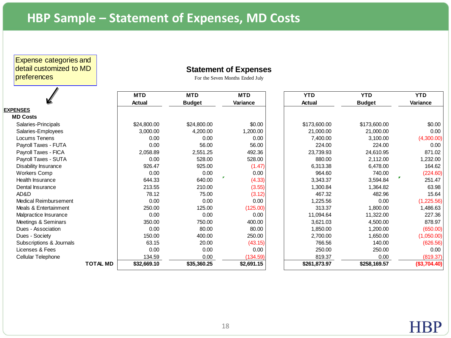Expense categories and detail customized to MD preferences

### **Statement of Expenses**

|                          |                 | <b>MTD</b>  | <b>MTD</b>    | <b>MTD</b> | <b>YTD</b>    | <b>YTD</b>    | <b>YTD</b>   |
|--------------------------|-----------------|-------------|---------------|------------|---------------|---------------|--------------|
|                          |                 | Actual      | <b>Budget</b> | Variance   | <b>Actual</b> | <b>Budget</b> | Variance     |
| <b>EXPENSES</b>          |                 |             |               |            |               |               |              |
| <b>MD Costs</b>          |                 |             |               |            |               |               |              |
| Salaries-Principals      |                 | \$24,800.00 | \$24,800.00   | \$0.00     | \$173,600.00  | \$173,600.00  | \$0.00       |
| Salaries-Employees       |                 | 3,000.00    | 4,200.00      | 1,200.00   | 21,000.00     | 21,000.00     | 0.00         |
| Locums Tenens            |                 | 0.00        | 0.00          | 0.00       | 7,400.00      | 3,100.00      | (4,300.00)   |
| Payroll Taxes - FUTA     |                 | 0.00        | 56.00         | 56.00      | 224.00        | 224.00        | 0.00         |
| Payroll Taxes - FICA     |                 | 2,058.89    | 2,551.25      | 492.36     | 23,739.93     | 24,610.95     | 871.02       |
| Payroll Taxes - SUTA     |                 | 0.00        | 528.00        | 528.00     | 880.00        | 2,112.00      | ,232.00      |
| Disability Insurance     |                 | 926.47      | 925.00        | (1.47)     | 6,313.38      | 6,478.00      | 164.62       |
| Workers Comp             |                 | 0.00        | 0.00          | 0.00       | 964.60        | 740.00        | (224.60)     |
| Health Insurance         |                 | 644.33      | 640.00        | (4.33)     | 3,343.37      | 3,594.84      | Ŧ<br>251.47  |
| Dental Insurance         |                 | 213.55      | 210.00        | (3.55)     | 1,300.84      | 1,364.82      | 63.98        |
| AD&D                     |                 | 78.12       | 75.00         | (3.12)     | 467.32        | 482.96        | 15.64        |
| Medical Reimbursement    |                 | 0.00        | 0.00          | 0.00       | 1,225.56      | 0.00          | (1,225.56)   |
| Meals & Entertainment    |                 | 250.00      | 125.00        | (125.00)   | 313.37        | 1,800.00      | 1,486.63     |
| Malpractice Insurance    |                 | 0.00        | 0.00          | 0.00       | 11,094.64     | 11,322.00     | 227.36       |
| Meetings & Seminars      |                 | 350.00      | 750.00        | 400.00     | 3,621.03      | 4,500.00      | 878.97       |
| Dues - Association       |                 | 0.00        | 80.00         | 80.00      | 1,850.00      | 1,200.00      | (650.00)     |
| Dues - Society           |                 | 150.00      | 400.00        | 250.00     | 2,700.00      | 1,650.00      | (1,050.00)   |
| Subscriptions & Journals |                 | 63.15       | 20.00         | (43.15)    | 766.56        | 140.00        | (626.56)     |
| Licenses & Fees          |                 | 0.00        | 0.00          | 0.00       | 250.00        | 250.00        | 0.00         |
| Cellular Telephone       |                 | 134.59      | 0.00          | (134.59)   | 819.37        | 0.00          | (819.37)     |
|                          | <b>TOTAL MD</b> | \$32,669.10 | \$35,360.25   | \$2,691.15 | \$261,873.97  | \$258,169.57  | (\$3,704.40) |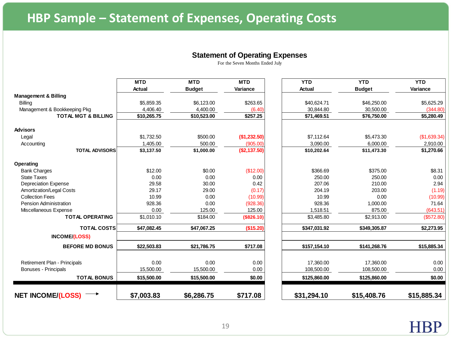#### **Statement of Operating Expenses**

|                                 | <b>MTD</b><br>Actual | <b>MTD</b><br><b>Budget</b> | <b>MTD</b><br>Variance | <b>YTD</b><br><b>Actual</b> | <b>YTD</b><br><b>Budget</b> | <b>YTD</b><br>Variance |
|---------------------------------|----------------------|-----------------------------|------------------------|-----------------------------|-----------------------------|------------------------|
| <b>Management &amp; Billing</b> |                      |                             |                        |                             |                             |                        |
| <b>Billing</b>                  | \$5,859.35           | \$6,123.00                  | \$263.65               | \$40,624.71                 | \$46,250.00                 | \$5,625.29             |
| Management & Bookkeeping Pkg    | 4.406.40             | 4,400.00                    | (6.40)                 | 30,844.80                   | 30,500.00                   | (344.80)               |
| <b>TOTAL MGT &amp; BILLING</b>  | \$10,265.75          | \$10,523.00                 | \$257.25               | \$71,469.51                 | \$76,750.00                 | \$5,280.49             |
| <b>Advisors</b>                 |                      |                             |                        |                             |                             |                        |
| Legal                           | \$1,732.50           | \$500.00                    | (\$1,232.50)           | \$7,112.64                  | \$5,473.30                  | (\$1,639.34)           |
| Accounting                      | 1.405.00             | 500.00                      | (905.00)               | 3.090.00                    | 6,000.00                    | 2,910.00               |
| <b>TOTAL ADVISORS</b>           | \$3,137.50           | \$1,000.00                  | (\$2,137.50)           | \$10,202.64                 | \$11,473.30                 | \$1,270.66             |
| Operating                       |                      |                             |                        |                             |                             |                        |
| <b>Bank Charges</b>             | \$12.00              | \$0.00                      | (\$12.00)              | \$366.69                    | \$375.00                    | \$8.31                 |
| <b>State Taxes</b>              | 0.00                 | 0.00                        | 0.00                   | 250.00                      | 250.00                      | 0.00                   |
| <b>Depreciation Expense</b>     | 29.58                | 30.00                       | 0.42                   | 207.06                      | 210.00                      | 2.94                   |
| Amortization/Legal Costs        | 29.17                | 29.00                       | (0.17)                 | 204.19                      | 203.00                      | (1.19)                 |
| <b>Collection Fees</b>          | 10.99                | 0.00                        | (10.99)                | 10.99                       | 0.00                        | (10.99)                |
| Pension Administration          | 928.36               | 0.00                        | (928.36)               | 928.36                      | 1,000.00                    | 71.64                  |
| Miscellaneous Expense           | 0.00                 | 125.00                      | 125.00                 | 1,518.51                    | 875.00                      | (643.51)               |
| <b>TOTAL OPERATING</b>          | \$1,010.10           | \$184.00                    | ( \$826.10)            | \$3,485.80                  | \$2,913.00                  | (\$572.80)             |
| <b>TOTAL COSTS</b>              | \$47.082.45          | \$47.067.25                 | (\$15.20)              | \$347.031.92                | \$349,305.87                | \$2.273.95             |
| <b>INCOME/(LOSS)</b>            |                      |                             |                        |                             |                             |                        |
| <b>BEFORE MD BONUS</b>          | \$22,503.83          | \$21.786.75                 | \$717.08               | \$157,154.10                | \$141.268.76                | \$15,885.34            |
| Retirement Plan - Principals    | 0.00                 | 0.00                        | 0.00                   | 17,360.00                   | 17,360.00                   | 0.00                   |
| Bonuses - Principals            | 15,500.00            | 15,500.00                   | 0.00                   | 108,500.00                  | 108,500.00                  | 0.00                   |
|                                 |                      |                             |                        |                             |                             |                        |
| <b>TOTAL BONUS</b>              | \$15,500.00          | \$15,500.00                 | \$0.00                 | \$125,860.00                | \$125,860.00                | \$0.00                 |
| <b>NET INCOME/(LOSS)</b>        | \$7,003.83           | \$6,286.75                  | \$717.08               | \$31,294.10                 | \$15,408.76                 | \$15,885.34            |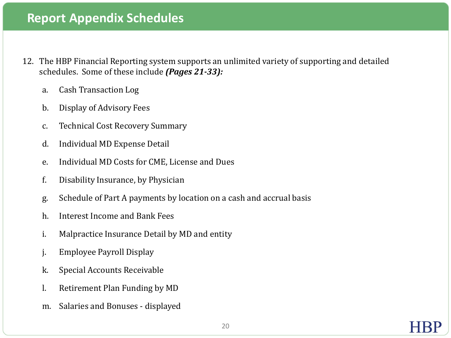## **Report Appendix Schedules**

- 12. The HBP Financial Reporting system supports an unlimited variety of supporting and detailed schedules. Some of these include *(Pages 21-33):*
	- a. Cash Transaction Log
	- b. Display of Advisory Fees
	- c. Technical Cost Recovery Summary
	- d. Individual MD Expense Detail
	- e. Individual MD Costs for CME, License and Dues
	- f. Disability Insurance, by Physician
	- g. Schedule of Part A payments by location on a cash and accrual basis
	- h. Interest Income and Bank Fees
	- i. Malpractice Insurance Detail by MD and entity
	- j. Employee Payroll Display
	- k. Special Accounts Receivable
	- l. Retirement Plan Funding by MD
	- m. Salaries and Bonuses displayed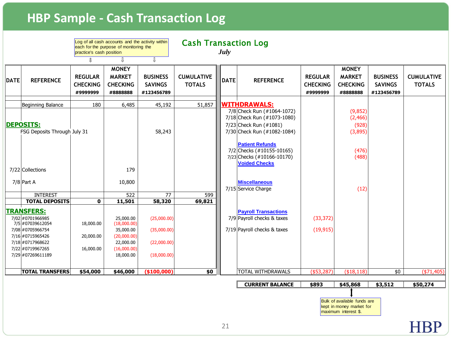# **HBP Sample - Cash Transaction Log**

|                                                                                                                                                 |                                                                                                                                                                                         | practice's cash position                            | Log of all cash accounts and the activity within<br>each for the purpose of monitoring the              |                                                                            | <b>Cash Transaction Log</b>        | July        |                                                                                                                                           |                                               |                                                              |                                                 |                                    |
|-------------------------------------------------------------------------------------------------------------------------------------------------|-----------------------------------------------------------------------------------------------------------------------------------------------------------------------------------------|-----------------------------------------------------|---------------------------------------------------------------------------------------------------------|----------------------------------------------------------------------------|------------------------------------|-------------|-------------------------------------------------------------------------------------------------------------------------------------------|-----------------------------------------------|--------------------------------------------------------------|-------------------------------------------------|------------------------------------|
| <b>DATE</b>                                                                                                                                     | <b>REFERENCE</b>                                                                                                                                                                        | Л<br><b>REGULAR</b><br><b>CHECKING</b><br>#9999999  | ⇩<br><b>MONEY</b><br><b>MARKET</b><br><b>CHECKING</b><br>#8888888                                       | $\overline{\mathbb{I}}$<br><b>BUSINESS</b><br><b>SAVINGS</b><br>#123456789 | <b>CUMULATIVE</b><br><b>TOTALS</b> | <b>DATE</b> | <b>REFERENCE</b>                                                                                                                          | <b>REGULAR</b><br><b>CHECKING</b><br>#9999999 | <b>MONEY</b><br><b>MARKET</b><br><b>CHECKING</b><br>#8888888 | <b>BUSINESS</b><br><b>SAVINGS</b><br>#123456789 | <b>CUMULATIVE</b><br><b>TOTALS</b> |
|                                                                                                                                                 | Beginning Balance<br><b>DEPOSITS:</b><br>FSG Deposits Through July 31                                                                                                                   | 180                                                 | 6,485                                                                                                   | 45,192<br>58,243                                                           | 51,857                             |             | <b>WITHDRAWALS:</b><br>7/8 Check Run (#1064-1072)<br>7/18 Check Run (#1073-1080)<br>7/23 Check Run (#1081)<br>7/30 Check Run (#1082-1084) |                                               | (9, 852)<br>(2, 466)<br>(928)<br>(3,895)                     |                                                 |                                    |
|                                                                                                                                                 | 7/22 Collections                                                                                                                                                                        |                                                     | 179                                                                                                     |                                                                            |                                    |             | <b>Patient Refunds</b><br>7/2 Checks (#10155-10165)<br>7/23 Checks (#10166-10170)<br><b>Voided Checks</b>                                 |                                               | (476)<br>(488)                                               |                                                 |                                    |
|                                                                                                                                                 | $7/8$ Part A<br><b>INTEREST</b>                                                                                                                                                         |                                                     | 10,800<br>522                                                                                           | 77                                                                         | 599                                |             | <b>Miscellaneous</b><br>7/15 Service Charge                                                                                               |                                               | (12)                                                         |                                                 |                                    |
|                                                                                                                                                 | <b>TOTAL DEPOSITS</b><br><b>TRANSFERS:</b><br>7/02 #0701966985<br>7/5 #07039612054<br>7/08 #0705966754<br>7/16 #0715965426<br>7/18 #0717968622<br>7/22 #0719967265<br>7/29 #07269611189 | $\mathbf{0}$<br>18,000.00<br>20,000.00<br>16,000.00 | 11,501<br>25,000.00<br>(18,000.00)<br>35,000.00<br>(20,000.00)<br>22,000.00<br>(16,000.00)<br>18,000.00 | 58,320<br>(25,000.00)<br>(35,000.00)<br>(22,000.00)<br>(18,000.00)         | 69,821                             |             | <b>Payroll Transactions</b><br>$7/9$ Payroll checks & taxes<br>$7/19$ Payroll checks & taxes                                              | (33, 372)<br>(19, 915)                        |                                                              |                                                 |                                    |
|                                                                                                                                                 | <b>TOTAL TRANSFERS</b>                                                                                                                                                                  | \$54,000                                            | \$46,000                                                                                                | (\$100,000)                                                                | \$0                                |             | TOTAL WITHDRAWALS                                                                                                                         | $(*53,287)$                                   | ( \$18, 118)                                                 | \$0                                             | $(*71,405)$                        |
| <b>CURRENT BALANCE</b><br>\$893<br>\$45,868<br>\$3,512<br>Bulk of available funds are<br>kept in money market for<br>maximum interest \$.<br>21 |                                                                                                                                                                                         |                                                     |                                                                                                         |                                                                            |                                    |             |                                                                                                                                           |                                               |                                                              | \$50,274                                        |                                    |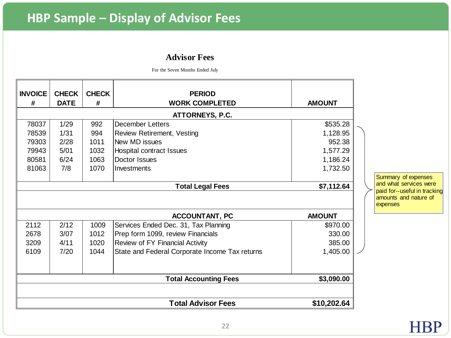# **HBP Sample – Display of Advisor Fees**

### **Advisor Fees**

For the Seven Months Ended July

| <b>INVOICE</b><br><b>CHECK</b><br><b>CHECK</b><br><b>PERIOD</b><br><b>DATE</b><br><b>WORK COMPLETED</b><br>#<br><b>AMOUNT</b><br># |               |  |  |  |  |  |
|------------------------------------------------------------------------------------------------------------------------------------|---------------|--|--|--|--|--|
| ATTORNEYS, P.C.                                                                                                                    |               |  |  |  |  |  |
| 78037<br>1/29<br>992<br><b>December Letters</b>                                                                                    | \$535.28      |  |  |  |  |  |
| 78539<br>1/31<br>994<br><b>Review Retirement, Vesting</b>                                                                          | 1,128.95      |  |  |  |  |  |
| 79303<br>2/28<br>1011<br>New MD issues                                                                                             | 952.38        |  |  |  |  |  |
| 5/01<br>79943<br>1032<br>Hospital contract Issues                                                                                  | 1,577.29      |  |  |  |  |  |
| Doctor Issues<br>80581<br>6/24<br>1063                                                                                             | 1,186.24      |  |  |  |  |  |
| 81063<br>7/8<br>1070<br>Investments                                                                                                | 1,732.50      |  |  |  |  |  |
|                                                                                                                                    |               |  |  |  |  |  |
| <b>Total Legal Fees</b>                                                                                                            | \$7,112.64    |  |  |  |  |  |
|                                                                                                                                    |               |  |  |  |  |  |
| <b>ACCOUNTANT, PC</b>                                                                                                              | <b>AMOUNT</b> |  |  |  |  |  |
| 2112<br>2/12<br>1009<br>Services Ended Dec. 31, Tax Planning                                                                       | \$970.00      |  |  |  |  |  |
| Prep form 1099, review Financials<br>2678<br>3/07<br>1012                                                                          | 330.00        |  |  |  |  |  |
| Review of FY Financial Activity<br>4/11<br>3209<br>1020                                                                            | 385.00        |  |  |  |  |  |
| State and Federal Corporate Income Tax returns<br>7/20<br>6109<br>1044                                                             | 1,405.00      |  |  |  |  |  |

nary of expenses what services were<br>for--useful in tracking Summary of expenses<br>and what services were<br>paid for--useful in tracking<br>amounts and nature of<br>expenses nts and nature of **ises**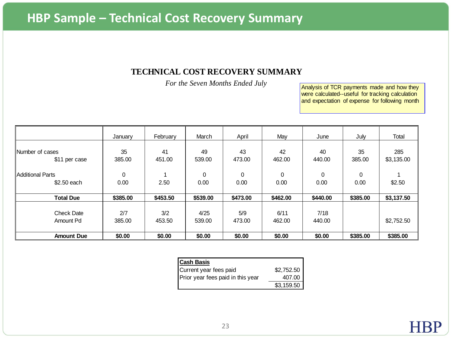### **TECHNICAL COST RECOVERY SUMMARY**

*For the Seven Months Ended July*

Analysis of TCR payments made and how they .<br>Analysis of TCR payments made and how they<br>were calculated--useful for tracking calculation<br>and expectation of expense for following month and expectation of expense for following month

|                                        | January       | February      | March          | April         | May              | June           | July         | Total             |
|----------------------------------------|---------------|---------------|----------------|---------------|------------------|----------------|--------------|-------------------|
| Number of cases<br>\$11 per case       | 35<br>385.00  | 41<br>451.00  | 49<br>539.00   | 43<br>473.00  | 42<br>462.00     | 40<br>440.00   | 35<br>385.00 | 285<br>\$3,135.00 |
| <b>Additional Parts</b><br>\$2.50 each | 0<br>0.00     | 2.50          | 0<br>0.00      | 0<br>0.00     | $\Omega$<br>0.00 | 0<br>0.00      | 0<br>0.00    | \$2.50            |
| <b>Total Due</b>                       | \$385.00      | \$453.50      | \$539.00       | \$473.00      | \$462.00         | \$440.00       | \$385.00     | \$3,137.50        |
| <b>Check Date</b><br>Amount Pd         | 2/7<br>385.00 | 3/2<br>453.50 | 4/25<br>539.00 | 5/9<br>473.00 | 6/11<br>462.00   | 7/18<br>440.00 |              | \$2,752.50        |
| <b>Amount Due</b>                      | \$0.00        | \$0.00        | \$0.00         | \$0.00        | \$0.00           | \$0.00         | \$385.00     | \$385.00          |

| <b>Cash Basis</b>                 |            |
|-----------------------------------|------------|
| Current year fees paid            | \$2,752.50 |
| Prior year fees paid in this year | 407.00     |
|                                   | \$3,159.50 |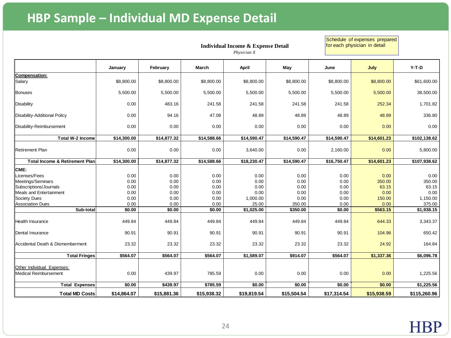# **HBP Sample – Individual MD Expense Detail**

**Individual Income & Expense Detail** *Physician X*

Schedule of expenses prepared for each physician in detail

|                                           | January                 | February    | March       | April       | May         | June        | July        | $Y-T-D$      |
|-------------------------------------------|-------------------------|-------------|-------------|-------------|-------------|-------------|-------------|--------------|
| Compensation:                             |                         |             |             |             |             |             |             |              |
| Salary                                    | \$8,800.00              | \$8,800.00  | \$8,800.00  | \$8,800.00  | \$8,800.00  | \$8,800.00  | \$8,800.00  | \$61,600.00  |
| <b>Bonuses</b>                            | 5,500.00                | 5,500.00    | 5,500.00    | 5,500.00    | 5,500.00    | 5,500.00    | 5,500.00    | 38,500.00    |
| Disability                                | 0.00                    | 483.16      | 241.58      | 241.58      | 241.58      | 241.58      | 252.34      | 1,701.82     |
| Disability-Additional Policy              | 0.00                    | 94.16       | 47.08       | 48.89       | 48.89       | 48.89       | 48.89       | 336.80       |
| Disability-Reimbursement                  | 0.00                    | 0.00        | 0.00        | 0.00        | 0.00        | 0.00        | 0.00        | 0.00         |
| <b>Total W-2 Income</b>                   | $\overline{$14,300.00}$ | \$14,877.32 | \$14,588.66 | \$14,590.47 | \$14,590.47 | \$14,590.47 | \$14,601.23 | \$102,138.62 |
|                                           |                         |             |             |             |             |             |             |              |
| lRetirement Plan                          | 0.00                    | 0.00        | 0.00        | 3,640.00    | 0.00        | 2,160.00    | 0.00        | 5,800.00     |
| <b>Total Income &amp; Retirement Plan</b> | \$14,300.00             | \$14,877.32 | \$14,588.66 | \$18,230.47 | \$14,590.47 | \$16,750.47 | \$14,601.23 | \$107,938.62 |
| CME:                                      |                         |             |             |             |             |             |             |              |
| Licenses/Fees                             | 0.00                    | 0.00        | 0.00        | 0.00        | 0.00        | 0.00        | 0.00        | 0.00         |
| Meetings/Seminars                         | 0.00                    | 0.00        | 0.00        | 0.00        | 0.00        | 0.00        | 350.00      | 350.00       |
| Subscriptions/Journals                    | 0.00                    | 0.00        | 0.00        | 0.00        | 0.00        | 0.00        | 63.15       | 63.15        |
| Meals and Entertainment                   | 0.00                    | 0.00        | 0.00        | 0.00        | 0.00        | 0.00        | 0.00        | 0.00         |
| Society Dues                              | 0.00                    | 0.00        | 0.00        | 1,000.00    | 0.00        | 0.00        | 150.00      | 1,150.00     |
| Association Dues                          | 0.00                    | 0.00        | 0.00        | 25.00       | 350.00      | 0.00        | 0.00        | 375.00       |
| Sub-total                                 | \$0.00                  | \$0.00      | \$0.00      | \$1,025.00  | \$350.00    | \$0.00      | \$563.15    | \$1,938.15   |
| Health Insurance                          | 449.84                  | 449.84      | 449.84      | 449.84      | 449.84      | 449.84      | 644.33      | 3,343.37     |
| <b>IDental Insurance</b>                  | 90.91                   | 90.91       | 90.91       | 90.91       | 90.91       | 90.91       | 104.96      | 650.42       |
| Accidental Death & Dismemberment          | 23.32                   | 23.32       | 23.32       | 23.32       | 23.32       | 23.32       | 24.92       | 164.84       |
| <b>Total Fringes</b>                      | \$564.07                | \$564.07    | \$564.07    | \$1,589.07  | \$914.07    | \$564.07    | \$1,337.36  | \$6,096.78   |
|                                           |                         |             |             |             |             |             |             |              |
| Other Individual Expenses:                |                         |             |             |             |             |             |             |              |
| Medical Reimbursement                     | 0.00                    | 439.97      | 785.59      | 0.00        | 0.00        | 0.00        | 0.00        | 1,225.56     |
| <b>Total Expenses</b>                     | \$0.00                  | \$439.97    | \$785.59    | \$0.00      | \$0.00      | \$0.00      | \$0.00      | \$1,225.56   |
| <b>Total MD Costs</b>                     | \$14,864.07             | \$15,881.36 | \$15,938.32 | \$19,819.54 | \$15,504.54 | \$17,314.54 | \$15,938.59 | \$115,260.96 |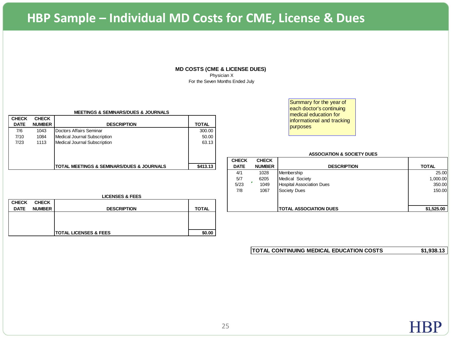# **HBP Sample – Individual MD Costs for CME, License & Dues**

#### **MD COSTS (CME & LICENSE DUES)**

Physician X For the Seven Months Ended July

| <b>CHECK</b> | <b>CHECK</b>  |                                                          |              |
|--------------|---------------|----------------------------------------------------------|--------------|
| <b>DATE</b>  | <b>NUMBER</b> | <b>DESCRIPTION</b>                                       | <b>TOTAL</b> |
| 7/6          | 1043          | Doctors Affairs Seminar                                  | 300.00       |
| 7/10         | 1084          | Medical Journal Subscription                             | 50.00        |
| 7/23         | 1113          | Medical Journal Subscription                             | 63.13        |
|              |               |                                                          |              |
|              |               |                                                          |              |
|              |               |                                                          |              |
|              |               | <b>TOTAL MEETINGS &amp; SEMINARS/DUES &amp; JOURNALS</b> | \$413.13     |

#### **LICENSES & FEES**

| <b>CHECK</b> | <b>CHECK</b>  |                       |              |
|--------------|---------------|-----------------------|--------------|
| <b>DATE</b>  | <b>NUMBER</b> | <b>DESCRIPTION</b>    | <b>TOTAL</b> |
|              |               |                       |              |
|              |               |                       |              |
|              |               |                       |              |
|              |               | TOTAL LICENSES & FEES | \$0.00       |

Summary for the year of each doctor's continuing medical education for informational and tracking purposes

#### **ASSOCIATION & SOCIETY DUES**

|              |               |                                                           |              | <b>CHECK</b> | <b>CHECK</b>  |                                  |              |
|--------------|---------------|-----------------------------------------------------------|--------------|--------------|---------------|----------------------------------|--------------|
|              |               | <b>ITOTAL MEETINGS &amp; SEMINARS/DUES &amp; JOURNALS</b> | \$413.13     | <b>DATE</b>  | <b>NUMBER</b> | <b>DESCRIPTION</b>               | <b>TOTAL</b> |
|              |               |                                                           |              | 4/1          | 1028          | Membership                       | 25.00        |
|              |               |                                                           |              | 5/7          | 6205          | <b>Medical Society</b>           | 100.000,     |
|              |               |                                                           |              | 5/23         | 1049          | <b>Hospital Association Dues</b> | 350.00       |
|              |               |                                                           |              | 7/8          | 1067          | Society Dues                     | 150.00       |
|              |               | <b>LICENSES &amp; FEES</b>                                |              |              |               |                                  |              |
| <b>HECK:</b> | <b>CHECK</b>  |                                                           |              |              |               |                                  |              |
| <b>DATE</b>  | <b>NUMBER</b> | <b>DESCRIPTION</b>                                        | <b>TOTAL</b> |              |               | I TOTAL ASSOCIATION DUES         | \$1,525.00   |

| <b>ITOTAL CONTINUING MEDICAL EDUCATION COSTS</b> | \$1,938.13 |
|--------------------------------------------------|------------|
|--------------------------------------------------|------------|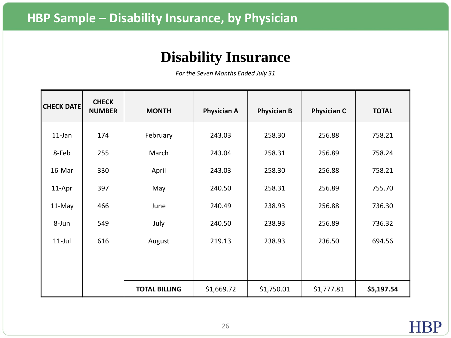# **Disability Insurance**

| <b>CHECK DATE</b> | <b>CHECK</b><br><b>NUMBER</b> | <b>MONTH</b>         | <b>Physician A</b> | <b>Physician B</b> | <b>Physician C</b> | <b>TOTAL</b> |
|-------------------|-------------------------------|----------------------|--------------------|--------------------|--------------------|--------------|
| $11$ -Jan         | 174                           | February             | 243.03             | 258.30             | 256.88             | 758.21       |
| 8-Feb             | 255                           | March                | 243.04             | 258.31             | 256.89             | 758.24       |
| 16-Mar            | 330                           | April                | 243.03             | 258.30             | 256.88             | 758.21       |
| 11-Apr            | 397                           | May                  | 240.50             | 258.31             | 256.89             | 755.70       |
| 11-May            | 466                           | June                 | 240.49             | 238.93             | 256.88             | 736.30       |
| 8-Jun             | 549                           | July                 | 240.50             | 238.93             | 256.89             | 736.32       |
| $11$ -Jul         | 616                           | August               | 219.13             | 238.93             | 236.50             | 694.56       |
|                   |                               |                      |                    |                    |                    |              |
|                   |                               |                      |                    |                    |                    |              |
|                   |                               | <b>TOTAL BILLING</b> | \$1,669.72         | \$1,750.01         | \$1,777.81         | \$5,197.54   |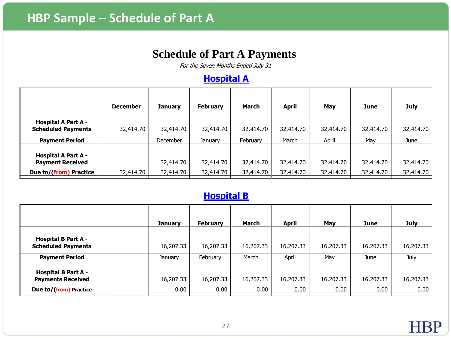### **Schedule of Part A Payments**

For the Seven Months Ended July 31

### **Hospital A**

|                                                         | <b>December</b> | <b>January</b>  | <b>February</b> | March     | <b>April</b> | May       | June      | <b>July</b> |
|---------------------------------------------------------|-----------------|-----------------|-----------------|-----------|--------------|-----------|-----------|-------------|
| <b>Hospital A Part A -</b><br><b>Scheduled Payments</b> | 32,414.70       | 32,414.70       | 32,414.70       | 32,414.70 | 32,414.70    | 32,414.70 | 32,414.70 | 32,414.70   |
| <b>Payment Period</b>                                   |                 | <b>December</b> | January         | February  | March        | April     | May       | June        |
| <b>Hospital A Part A -</b><br><b>Payment Received</b>   |                 | 32,414.70       | 32,414.70       | 32,414.70 | 32,414.70    | 32,414.70 | 32,414.70 | 32,414.70   |
| Due to/(from) Practice                                  | 32,414.70       | 32,414.70       | 32,414.70       | 32,414.70 | 32,414.70    | 32,414.70 | 32,414.70 | 32,414.70   |

### **Hospital B**

|                                                         | <b>January</b> | <b>February</b> | March     | <b>April</b> | May       | June      | <b>July</b> |
|---------------------------------------------------------|----------------|-----------------|-----------|--------------|-----------|-----------|-------------|
| <b>Hospital B Part A -</b><br><b>Scheduled Payments</b> | 16,207.33      | 16,207.33       | 16,207.33 | 16,207.33    | 16,207.33 | 16,207.33 | 16,207.33   |
| <b>Payment Period</b>                                   | January        | February        | March     | April        | Mav       | June      | <b>July</b> |
| <b>Hospital B Part A -</b><br><b>Payments Received</b>  | 16,207.33      | 16,207.33       | 16,207.33 | 16,207.33    | 16,207.33 | 16,207.33 | 16,207.33   |
| Due to/(from) Practice                                  | 0.00           | 0.00            | 0.00      | 0.00         | 0.00      | 0.00      | 0.00        |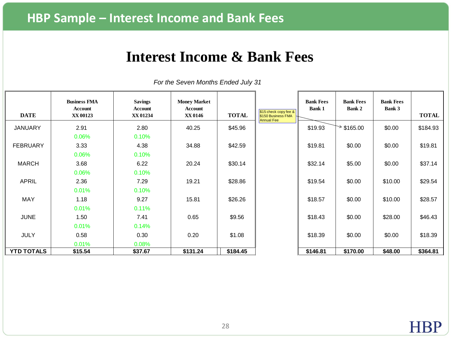# **Interest Income & Bank Fees**

| <b>DATE</b>       | <b>Business FMA</b><br>Account<br>XX 00123 | <b>Savings</b><br><b>Account</b><br>XX 01234 | <b>Money Market</b><br>Account<br>XX 0146 | <b>TOTAL</b> | $$15$ check copy fee &<br>\$150 Business FMA | <b>Bank Fees</b><br><b>Bank 1</b> | <b>Bank Fees</b><br>Bank 2 | <b>Bank Fees</b><br><b>Bank 3</b> | <b>TOTAL</b> |
|-------------------|--------------------------------------------|----------------------------------------------|-------------------------------------------|--------------|----------------------------------------------|-----------------------------------|----------------------------|-----------------------------------|--------------|
| <b>JANUARY</b>    | 2.91                                       | 2.80                                         | 40.25                                     | \$45.96      | <b>Annual Fee</b>                            | \$19.93                           | $*$ \$165.00               | \$0.00                            | \$184.93     |
|                   | 0.06%                                      | 0.10%                                        |                                           |              |                                              |                                   |                            |                                   |              |
| <b>FEBRUARY</b>   | 3.33                                       | 4.38                                         | 34.88                                     | \$42.59      |                                              | \$19.81                           | \$0.00                     | \$0.00                            | \$19.81      |
|                   | 0.06%                                      | 0.10%                                        |                                           |              |                                              |                                   |                            |                                   |              |
| <b>MARCH</b>      | 3.68                                       | 6.22                                         | 20.24                                     | \$30.14      |                                              | \$32.14                           | \$5.00                     | \$0.00                            | \$37.14      |
|                   | $0.06\%$                                   | 0.10%                                        |                                           |              |                                              |                                   |                            |                                   |              |
| <b>APRIL</b>      | 2.36                                       | 7.29                                         | 19.21                                     | \$28.86      |                                              | \$19.54                           | \$0.00                     | \$10.00                           | \$29.54      |
|                   | 0.01%                                      | 0.10%                                        |                                           |              |                                              |                                   |                            |                                   |              |
| MAY               | 1.18                                       | 9.27                                         | 15.81                                     | \$26.26      |                                              | \$18.57                           | \$0.00                     | \$10.00                           | \$28.57      |
|                   | 0.01%                                      | 0.11%                                        |                                           |              |                                              |                                   |                            |                                   |              |
| <b>JUNE</b>       | 1.50                                       | 7.41                                         | 0.65                                      | \$9.56       |                                              | \$18.43                           | \$0.00                     | \$28.00                           | \$46.43      |
|                   | 0.01%                                      | 0.14%                                        |                                           |              |                                              |                                   |                            |                                   |              |
| <b>JULY</b>       | 0.58                                       | 0.30                                         | 0.20                                      | \$1.08       |                                              | \$18.39                           | \$0.00                     | \$0.00                            | \$18.39      |
|                   | 0.01%                                      | 0.08%                                        |                                           |              |                                              |                                   |                            |                                   |              |
| <b>YTD TOTALS</b> | \$15.54                                    | \$37.67                                      | \$131.24                                  | \$184.45     |                                              | \$146.81                          | \$170.00                   | \$48.00                           | \$364.81     |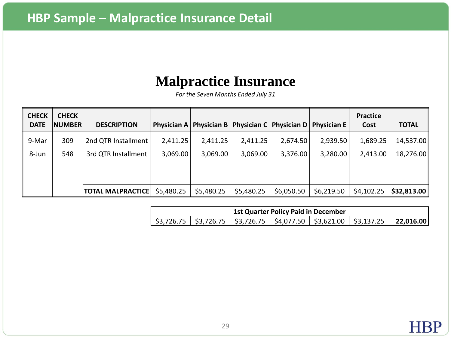# **Malpractice Insurance**

| <b>CHECK</b><br><b>DATE</b> | <b>CHECK</b><br><b>NUMBER</b> | <b>DESCRIPTION</b>           |          | <b>Physician A   Physician B  </b> |            | <b>Physician C</b> Physician D   Physician E |            | <b>Practice</b><br>Cost | <b>TOTAL</b> |
|-----------------------------|-------------------------------|------------------------------|----------|------------------------------------|------------|----------------------------------------------|------------|-------------------------|--------------|
| 9-Mar                       | 309                           | 2nd QTR Installment          | 2,411.25 | 2,411.25                           | 2,411.25   | 2,674.50                                     | 2,939.50   | 1,689.25                | 14,537.00    |
| 8-Jun                       | 548                           | 3rd QTR Installment          | 3,069.00 | 3,069.00                           | 3,069.00   | 3,376.00                                     | 3,280.00   | 2,413.00                | 18,276.00    |
|                             |                               |                              |          |                                    |            |                                              |            |                         |              |
|                             |                               |                              |          |                                    |            |                                              |            |                         |              |
|                             |                               | TOTAL MALPRACTICE \$5,480.25 |          | \$5,480.25                         | \$5,480.25 | \$6,050.50                                   | \$6,219.50 | \$4,102.25              | \$32,813.00  |

| <b>1st Quarter Policy Paid in December</b> |  |  |  |                                                                                                                                            |  |  |  |  |
|--------------------------------------------|--|--|--|--------------------------------------------------------------------------------------------------------------------------------------------|--|--|--|--|
|                                            |  |  |  | $\vert$ \$3,726.75 $\vert$ \$3,726.75 $\vert$ \$3,726.75 $\vert$ \$4,077.50 $\vert$ \$3,621.00 $\vert$ \$3,137.25 $\vert$ <b>22,016.00</b> |  |  |  |  |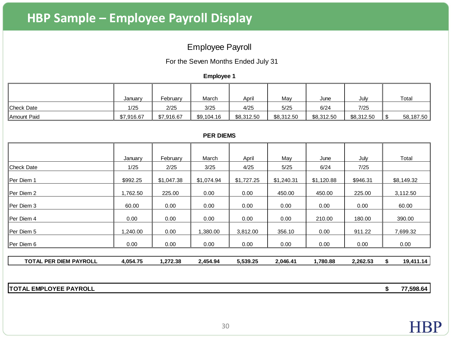### Employee Payroll

For the Seven Months Ended July 31

**Employee 1**

|                   | January    | February   | March      | Apri       | May        | June       | July       | Total     |
|-------------------|------------|------------|------------|------------|------------|------------|------------|-----------|
|                   |            |            |            |            |            |            |            |           |
| <b>Check Date</b> | 1/25       | 2/25       | 3/25       | 4/25       | 5/25       | 6/24       | 7/25       |           |
| Amount Paid       | \$7.916.67 | \$7,916.67 | \$9,104.16 | \$8,312.50 | \$8,312.50 | \$8,312.50 | \$8,312.50 | 58,187.50 |

#### **PER DIEMS**

|                               | January  | February   | March      | April      | May        | June       | July     | Total      |
|-------------------------------|----------|------------|------------|------------|------------|------------|----------|------------|
| <b>Check Date</b>             | 1/25     | 2/25       | 3/25       | 4/25       | 5/25       | 6/24       | 7/25     |            |
| Per Diem 1                    | \$992.25 | \$1,047.38 | \$1,074.94 | \$1,727.25 | \$1,240.31 | \$1,120.88 | \$946.31 | \$8,149.32 |
| Per Diem 2                    | 1,762.50 | 225.00     | 0.00       | 0.00       | 450.00     | 450.00     | 225.00   | 3,112.50   |
| Per Diem 3                    | 60.00    | 0.00       | 0.00       | 0.00       | 0.00       | 0.00       | 0.00     | 60.00      |
| Per Diem 4                    | 0.00     | 0.00       | 0.00       | 0.00       | 0.00       | 210.00     | 180.00   | 390.00     |
| Per Diem 5                    | .240.00  | 0.00       | 1,380.00   | 3,812.00   | 356.10     | 0.00       | 911.22   | 7,699.32   |
| Per Diem 6                    | 0.00     | 0.00       | 0.00       | 0.00       | 0.00       | 0.00       | 0.00     | 0.00       |
| <b>TOTAL PER DIEM PAYROLL</b> | 4,054.75 | 1,272.38   | 2,454.94   | 5,539.25   | 2,046.41   | 1,780.88   | 2,262.53 | 19,411.14  |

**TOTAL EMPLOYEE PAYROLL \$ 77,598.64**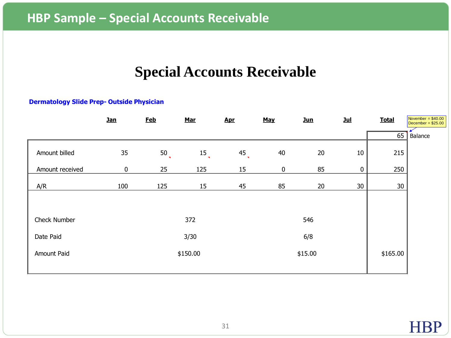# **Special Accounts Receivable**

#### **Dermatology Slide Prep- Outside Physician**

|                 | $Jan$     | <b>Feb</b>                     | <b>Mar</b>      | <b>Apr</b> | <b>May</b> | $Jun$    | $Jul$       | <b>Total</b> | November = $$40.00$<br>December = $$25.00$ |
|-----------------|-----------|--------------------------------|-----------------|------------|------------|----------|-------------|--------------|--------------------------------------------|
|                 |           |                                |                 |            |            |          |             | 65           | Balance                                    |
| Amount billed   | 35        | 50<br>$\overline{\phantom{a}}$ | 15 <sub>l</sub> | $^{45}$    | 40         | 20       | 10          | 215          |                                            |
| Amount received | $\pmb{0}$ | 25                             | 125             | 15         | $\bf{0}$   | 85       | $\mathbf 0$ | 250          |                                            |
| A/R             | 100       | 125                            | 15              | 45         | 85         | 20       | 30          | 30           |                                            |
|                 |           |                                |                 |            |            |          |             |              |                                            |
| Check Number    |           |                                | 372             |            |            | 546      |             |              |                                            |
| Date Paid       |           | 6/8<br>3/30                    |                 |            |            |          |             |              |                                            |
| Amount Paid     |           | \$150.00<br>\$15.00            |                 |            |            | \$165.00 |             |              |                                            |
|                 |           |                                |                 |            |            |          |             |              |                                            |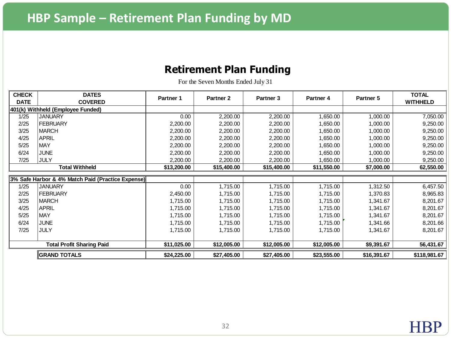### **Retirement Plan Funding**

| <b>CHECK</b><br><b>DATE</b> | <b>DATES</b><br><b>COVERED</b>                    | Partner 1   | Partner <sub>2</sub> | Partner <sub>3</sub> | Partner 4   | Partner 5   | <b>TOTAL</b><br><b>WITHHELD</b> |
|-----------------------------|---------------------------------------------------|-------------|----------------------|----------------------|-------------|-------------|---------------------------------|
|                             | 401(k) Withheld (Employee Funded)                 |             |                      |                      |             |             |                                 |
| 1/25                        | <b>JANUARY</b>                                    | 0.00        | 2,200.00             | 2,200.00             | ,650.00     | 1,000.00    | 7,050.00                        |
| 2/25                        | <b>FEBRUARY</b>                                   | 2,200.00    | 2,200.00             | 2,200.00             | 1,650.00    | 1,000.00    | 9,250.00                        |
| 3/25                        | <b>MARCH</b>                                      | 2,200.00    | 2,200.00             | 2,200.00             | 1,650.00    | 1,000.00    | 9,250.00                        |
| 4/25                        | <b>APRIL</b>                                      | 2,200.00    | 2,200.00             | 2,200.00             | 1,650.00    | 1,000.00    | 9,250.00                        |
| 5/25                        | <b>MAY</b>                                        | 2,200.00    | 2,200.00             | 2,200.00             | 1,650.00    | 1,000.00    | 9,250.00                        |
| 6/24                        | <b>JUNE</b>                                       | 2,200.00    | 2,200.00             | 2,200.00             | ,650.00     | 1,000.00    | 9,250.00                        |
| 7/25                        | <b>JULY</b>                                       | 2,200.00    | 2,200.00             | 2,200.00             | ,650.00     | 1,000.00    | 9,250.00                        |
| <b>Total Withheld</b>       |                                                   | \$13,200.00 | \$15,400.00          | \$15,400.00          | \$11,550.00 | \$7,000.00  | 62,550.00                       |
|                             | 3% Safe Harbor & 4% Match Paid (Practice Expense) |             |                      |                      |             |             |                                 |
| 1/25                        | <b>JANUARY</b>                                    | 0.00        | 1,715.00             | 1,715.00             | 1,715.00    | 1,312.50    | 6,457.50                        |
| 2/25                        | <b>FEBRUARY</b>                                   | 2,450.00    | 1,715.00             | 1,715.00             | 1,715.00    | 1,370.83    | 8,965.83                        |
| 3/25                        | <b>MARCH</b>                                      | 1,715.00    | 1,715.00             | 1,715.00             | 1,715.00    | 1,341.67    | 8,201.67                        |
| 4/25                        | <b>APRIL</b>                                      | 1,715.00    | 1,715.00             | 1,715.00             | 1,715.00    | 1,341.67    | 8,201.67                        |
| 5/25                        | <b>MAY</b>                                        | 1,715.00    | 1,715.00             | 1,715.00             | 1,715.00    | 1,341.67    | 8,201.67                        |
| 6/24                        | <b>JUNE</b>                                       | 1,715.00    | 1,715.00             | 1,715.00             | 1,715.00    | 1,341.66    | 8,201.66                        |
| 7/25                        | JULY                                              | 1,715.00    | 1,715.00             | 1,715.00             | 1,715.00    | 1,341.67    | 8,201.67                        |
|                             |                                                   |             |                      |                      |             |             |                                 |
|                             | <b>Total Profit Sharing Paid</b>                  | \$11,025.00 | \$12,005.00          | \$12,005.00          | \$12,005.00 | \$9,391.67  | 56,431.67                       |
|                             | <b>GRAND TOTALS</b>                               | \$24,225.00 | \$27,405.00          | \$27,405.00          | \$23,555.00 | \$16,391.67 | \$118,981.67                    |